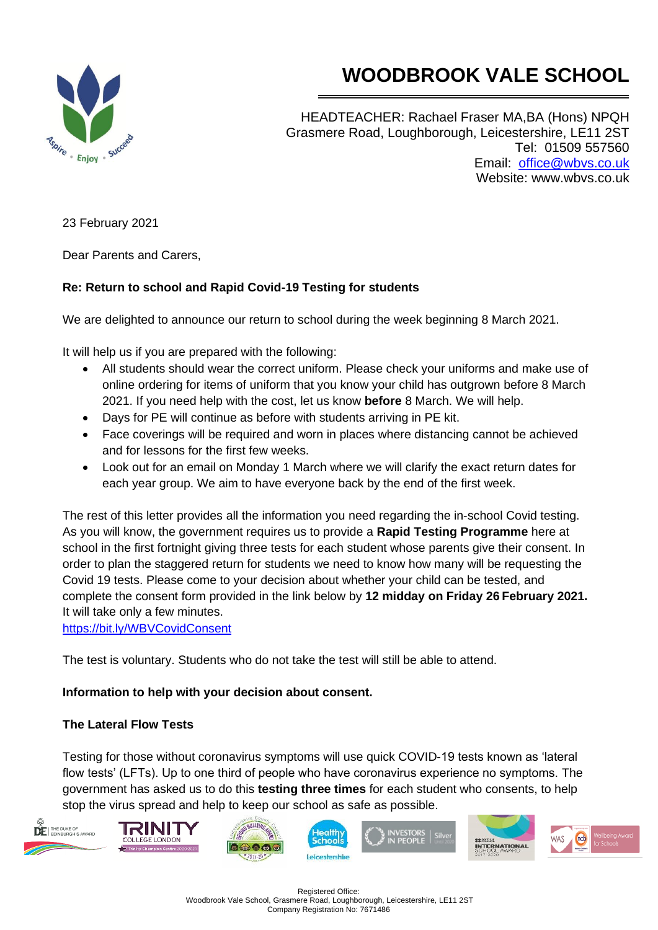



HEADTEACHER: Rachael Fraser MA,BA (Hons) NPQH Grasmere Road, Loughborough, Leicestershire, LE11 2ST Tel: 01509 557560 Email: [office@wbvs.co.uk](mailto:office@wbvs.co.uk) Website: www.wbvs.co.uk

23 February 2021

Dear Parents and Carers,

### **Re: Return to school and Rapid Covid-19 Testing for students**

We are delighted to announce our return to school during the week beginning 8 March 2021.

It will help us if you are prepared with the following:

- All students should wear the correct uniform. Please check your uniforms and make use of online ordering for items of uniform that you know your child has outgrown before 8 March 2021. If you need help with the cost, let us know **before** 8 March. We will help.
- Days for PE will continue as before with students arriving in PE kit.
- Face coverings will be required and worn in places where distancing cannot be achieved and for lessons for the first few weeks.
- Look out for an email on Monday 1 March where we will clarify the exact return dates for each year group. We aim to have everyone back by the end of the first week.

The rest of this letter provides all the information you need regarding the in-school Covid testing. As you will know, the government requires us to provide a **Rapid Testing Programme** here at school in the first fortnight giving three tests for each student whose parents give their consent. In order to plan the staggered return for students we need to know how many will be requesting the Covid 19 tests. Please come to your decision about whether your child can be tested, and complete the consent form provided in the link below by **12 midday on Friday 26 February 2021.** It will take only a few minutes.

<https://bit.ly/WBVCovidConsent>

The test is voluntary. Students who do not take the test will still be able to attend.

#### **Information to help with your decision about consent.**

#### **The Lateral Flow Tests**

Testing for those without coronavirus symptoms will use quick COVID-19 tests known as 'lateral flow tests' (LFTs). Up to one third of people who have coronavirus experience no symptoms. The government has asked us to do this **testing three times** for each student who consents, to help stop the virus spread and help to keep our school as safe as possible.

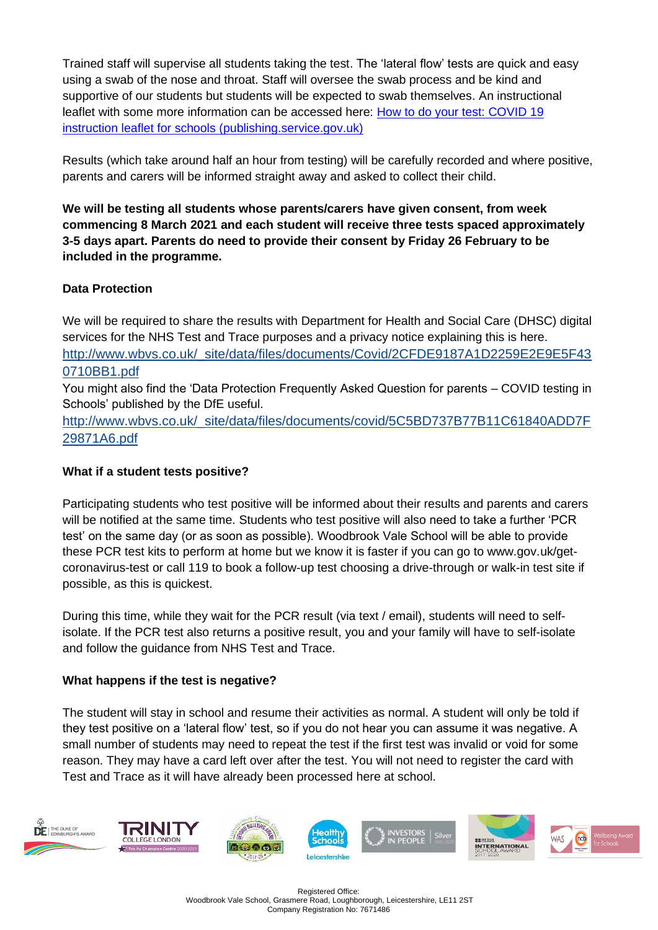Trained staff will supervise all students taking the test. The 'lateral flow' tests are quick and easy using a swab of the nose and throat. Staff will oversee the swab process and be kind and supportive of our students but students will be expected to swab themselves. An instructional leaflet with some more information can be accessed here: [How to do your test: COVID 19](https://assets.publishing.service.gov.uk/government/uploads/system/uploads/attachment_data/file/946612/How_to_do_your_test_COVID_19_instruction_leaflet_for_schools.pdf)  [instruction leaflet for schools \(publishing.service.gov.uk\)](https://assets.publishing.service.gov.uk/government/uploads/system/uploads/attachment_data/file/946612/How_to_do_your_test_COVID_19_instruction_leaflet_for_schools.pdf)

Results (which take around half an hour from testing) will be carefully recorded and where positive, parents and carers will be informed straight away and asked to collect their child.

**We will be testing all students whose parents/carers have given consent, from week commencing 8 March 2021 and each student will receive three tests spaced approximately 3-5 days apart. Parents do need to provide their consent by Friday 26 February to be included in the programme.**

# **Data Protection**

We will be required to share the results with Department for Health and Social Care (DHSC) digital services for the NHS Test and Trace purposes and a privacy notice explaining this is here. [http://www.wbvs.co.uk/\\_site/data/files/documents/Covid/2CFDE9187A1D2259E2E9E5F43](http://www.wbvs.co.uk/_site/data/files/documents/Covid/2CFDE9187A1D2259E2E9E5F430710BB1.pdf) [0710BB1.pdf](http://www.wbvs.co.uk/_site/data/files/documents/Covid/2CFDE9187A1D2259E2E9E5F430710BB1.pdf)

You might also find the 'Data Protection Frequently Asked Question for parents – COVID testing in Schools' published by the DfE useful.

[http://www.wbvs.co.uk/\\_site/data/files/documents/covid/5C5BD737B77B11C61840ADD7F](http://www.wbvs.co.uk/_site/data/files/documents/covid/5C5BD737B77B11C61840ADD7F29871A6.pdf) [29871A6.pdf](http://www.wbvs.co.uk/_site/data/files/documents/covid/5C5BD737B77B11C61840ADD7F29871A6.pdf)

## **What if a student tests positive?**

Participating students who test positive will be informed about their results and parents and carers will be notified at the same time. Students who test positive will also need to take a further 'PCR test' on the same day (or as soon as possible). Woodbrook Vale School will be able to provide these PCR test kits to perform at home but we know it is faster if you can go to www.gov.uk/getcoronavirus-test or call 119 to book a follow-up test choosing a drive-through or walk-in test site if possible, as this is quickest.

During this time, while they wait for the PCR result (via text / email), students will need to selfisolate. If the PCR test also returns a positive result, you and your family will have to self-isolate and follow the guidance from NHS Test and Trace.

### **What happens if the test is negative?**

The student will stay in school and resume their activities as normal. A student will only be told if they test positive on a 'lateral flow' test, so if you do not hear you can assume it was negative. A small number of students may need to repeat the test if the first test was invalid or void for some reason. They may have a card left over after the test. You will not need to register the card with Test and Trace as it will have already been processed here at school.